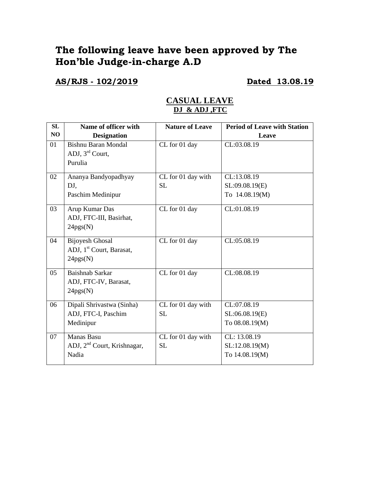# **The following leave have been approved by The Hon'ble Judge-in-charge A.D**

**AS/RJS - 102/2019 Dated 13.08.19**

| SL             | Name of officer with                                                       | <b>Nature of Leave</b>          | <b>Period of Leave with Station</b>              |
|----------------|----------------------------------------------------------------------------|---------------------------------|--------------------------------------------------|
| N <sub>O</sub> | <b>Designation</b>                                                         |                                 | Leave                                            |
| 01             | <b>Bishnu Baran Mondal</b><br>ADJ, $3rd$ Court,<br>Purulia                 | CL for 01 day                   | CL:03.08.19                                      |
| 02             | Ananya Bandyopadhyay<br>DJ,<br>Paschim Medinipur                           | CL for 01 day with<br><b>SL</b> | CL:13.08.19<br>SL:09.08.19(E)<br>To 14.08.19(M)  |
| 03             | Arup Kumar Das<br>ADJ, FTC-III, Basirhat,<br>24pgs(N)                      | CL for 01 day                   | CL:01.08.19                                      |
| 04             | <b>Bijoyesh Ghosal</b><br>ADJ, 1 <sup>st</sup> Court, Barasat,<br>24pgs(N) | CL for 01 day                   | CL:05.08.19                                      |
| 05             | Baishnab Sarkar<br>ADJ, FTC-IV, Barasat,<br>24pgs(N)                       | CL for 01 day                   | CL:08.08.19                                      |
| 06             | Dipali Shrivastwa (Sinha)<br>ADJ, FTC-I, Paschim<br>Medinipur              | CL for 01 day with<br><b>SL</b> | CL:07.08.19<br>SL:06.08.19(E)<br>To 08.08.19(M)  |
| 07             | <b>Manas Basu</b><br>ADJ, 2 <sup>nd</sup> Court, Krishnagar,<br>Nadia      | CL for 01 day with<br><b>SL</b> | CL: 13.08.19<br>SL:12.08.19(M)<br>To 14.08.19(M) |

### **CASUAL LEAVE DJ & ADJ ,FTC**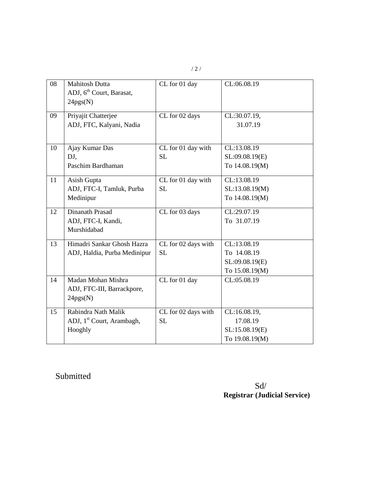|--|--|

| 08 | <b>Mahitosh Dutta</b><br>ADJ, 6 <sup>th</sup> Court, Barasat,<br>24pgs(N) | CL for 01 day                    | CL:06.08.19                                                    |
|----|---------------------------------------------------------------------------|----------------------------------|----------------------------------------------------------------|
| 09 | Priyajit Chatterjee<br>ADJ, FTC, Kalyani, Nadia                           | CL for 02 days                   | CL:30.07.19,<br>31.07.19                                       |
| 10 | Ajay Kumar Das<br>DJ,<br>Paschim Bardhaman                                | CL for 01 day with<br><b>SL</b>  | CL:13.08.19<br>SL:09.08.19(E)<br>To 14.08.19(M)                |
| 11 | Asish Gupta<br>ADJ, FTC-I, Tamluk, Purba<br>Medinipur                     | CL for 01 day with<br><b>SL</b>  | CL:13.08.19<br>SL:13.08.19(M)<br>To 14.08.19(M)                |
| 12 | Dinanath Prasad<br>ADJ, FTC-I, Kandi,<br>Murshidabad                      | CL for 03 days                   | CL:29.07.19<br>To 31.07.19                                     |
| 13 | Himadri Sankar Ghosh Hazra<br>ADJ, Haldia, Purba Medinipur                | CL for 02 days with<br><b>SL</b> | CL:13.08.19<br>To 14.08.19<br>SL:09.08.19(E)<br>To 15.08.19(M) |
| 14 | Madan Mohan Mishra<br>ADJ, FTC-III, Barrackpore,<br>24pgs(N)              | CL for 01 day                    | CL:05.08.19                                                    |
| 15 | Rabindra Nath Malik<br>ADJ, 1 <sup>st</sup> Court, Arambagh,<br>Hooghly   | CL for 02 days with<br><b>SL</b> | CL:16.08.19,<br>17.08.19<br>SL:15.08.19(E)<br>To 19.08.19(M)   |

Submitted

Sd/ **Registrar (Judicial Service)**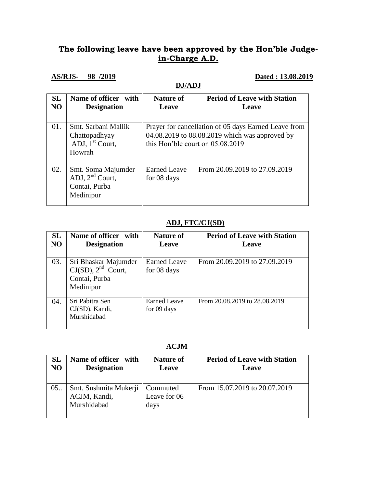## **The following leave have been approved by the Hon'ble Judgein-Charge A.D.**

#### **AS/RJS- 98 /2019 Dated : 13.08.2019**

|                 | DJ/ADJ                                                                |                                                                                                                                              |                                              |
|-----------------|-----------------------------------------------------------------------|----------------------------------------------------------------------------------------------------------------------------------------------|----------------------------------------------|
| <b>SL</b><br>NO | Name of officer with<br><b>Designation</b>                            | <b>Nature of</b><br>Leave                                                                                                                    | <b>Period of Leave with Station</b><br>Leave |
| 01.             | Smt. Sarbani Mallik<br>Chattopadhyay<br>ADJ, $1st$ Court,<br>Howrah   | Prayer for cancellation of 05 days Earned Leave from<br>04.08.2019 to 08.08.2019 which was approved by<br>this Hon'ble court on $05.08.2019$ |                                              |
| 02.             | Smt. Soma Majumder<br>ADJ, $2nd$ Court,<br>Contai, Purba<br>Medinipur | <b>Earned Leave</b><br>for 08 days                                                                                                           | From 20.09.2019 to 27.09.2019                |

### **ADJ, FTC/CJ(SD)**

| <b>SL</b><br>NO | Name of officer with<br><b>Designation</b>                                    | <b>Nature of</b><br>Leave          | <b>Period of Leave with Station</b><br>Leave |
|-----------------|-------------------------------------------------------------------------------|------------------------------------|----------------------------------------------|
| 03.             | Sri Bhaskar Majumder<br>$CJ(SD)$ , $2nd$ Court,<br>Contai, Purba<br>Medinipur | <b>Earned Leave</b><br>for 08 days | From 20.09.2019 to 27.09.2019                |
| 04.             | Sri Pabitra Sen<br>CJ(SD), Kandi,<br>Murshidabad                              | <b>Earned Leave</b><br>for 09 days | From 20.08.2019 to 28.08.2019                |

#### **ACJM**

| SL<br>N <sub>O</sub> | Name of officer<br>with<br><b>Designation</b>        | <b>Nature of</b><br>Leave        | <b>Period of Leave with Station</b><br>Leave |
|----------------------|------------------------------------------------------|----------------------------------|----------------------------------------------|
| 05.                  | Smt. Sushmita Mukerji<br>ACJM, Kandi,<br>Murshidabad | Commuted<br>Leave for 06<br>days | From 15.07.2019 to 20.07.2019                |